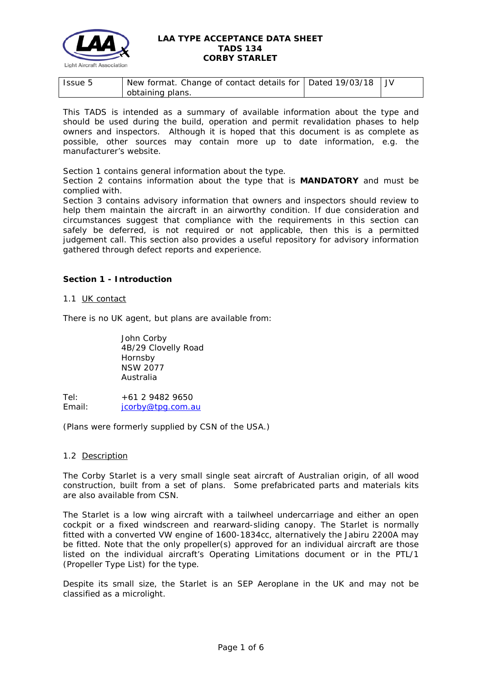

| Issue 5 | New format. Change of contact details for $\vert$ Dated 19/03/18 $\vert$ JV |  |
|---------|-----------------------------------------------------------------------------|--|
|         | obtaining plans.                                                            |  |

This TADS is intended as a summary of available information about the type and should be used during the build, operation and permit revalidation phases to help owners and inspectors. Although it is hoped that this document is as complete as possible, other sources may contain more up to date information, e.g. the manufacturer's website.

Section 1 contains general information about the type.

Section 2 contains information about the type that is **MANDATORY** and must be complied with.

Section 3 contains advisory information that owners and inspectors should review to help them maintain the aircraft in an airworthy condition. If due consideration and circumstances suggest that compliance with the requirements in this section can safely be deferred, is not required or not applicable, then this is a permitted judgement call. This section also provides a useful repository for advisory information gathered through defect reports and experience.

# **Section 1 - Introduction**

# 1.1 UK contact

There is no UK agent, but plans are available from:

John Corby 4B/29 Clovelly Road Hornsby NSW 2077 Australia

Tel: +61 2 9482 9650 Email: [jcorby@tpg.com.au](mailto:jcorby@tpg.com.au)

(Plans were formerly supplied by CSN of the USA.)

### 1.2 Description

The Corby Starlet is a very small single seat aircraft of Australian origin, of all wood construction, built from a set of plans. Some prefabricated parts and materials kits are also available from CSN.

The Starlet is a low wing aircraft with a tailwheel undercarriage and either an open cockpit or a fixed windscreen and rearward-sliding canopy. The Starlet is normally fitted with a converted VW engine of 1600-1834cc, alternatively the Jabiru 2200A may be fitted. Note that the only propeller(s) approved for an individual aircraft are those listed on the individual aircraft's Operating Limitations document or in the PTL/1 (Propeller Type List) for the type.

Despite its small size, the Starlet is an SEP Aeroplane in the UK and may not be classified as a microlight.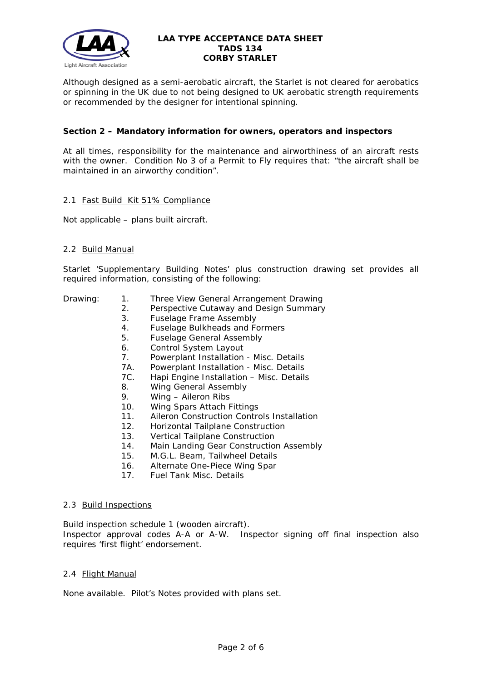

Although designed as a semi-aerobatic aircraft, the Starlet is not cleared for aerobatics or spinning in the UK due to not being designed to UK aerobatic strength requirements or recommended by the designer for intentional spinning.

# **Section 2 – Mandatory information for owners, operators and inspectors**

At all times, responsibility for the maintenance and airworthiness of an aircraft rests with the owner. Condition No 3 of a Permit to Fly requires that: *"the aircraft shall be maintained in an airworthy condition".* 

# 2.1 Fast Build Kit 51% Compliance

Not applicable – plans built aircraft.

# 2.2 Build Manual

Starlet 'Supplementary Building Notes' plus construction drawing set provides all required information, consisting of the following:

- 
- Drawing: 1. Three View General Arrangement Drawing
	- 2. Perspective Cutaway and Design Summary
	- 3. Fuselage Frame Assembly
	- 4. Fuselage Bulkheads and Formers
	- 5. Fuselage General Assembly
	- 6. Control System Layout
	- 7. Powerplant Installation Misc. Details<br>7A Powerplant Installation Misc. Details
	- Powerplant Installation Misc. Details
	- 7C. Hapi Engine Installation Misc. Details
	- 8. Wing General Assembly
	- 9. Wing Aileron Ribs
	- 10. Wing Spars Attach Fittings
	- 11. Aileron Construction Controls Installation
	- 12. Horizontal Tailplane Construction
	- 13. Vertical Tailplane Construction<br>14. Main Landing Gear Constructio
	- Main Landing Gear Construction Assembly
	- 15. M.G.L. Beam, Tailwheel Details
	- 16. Alternate One-Piece Wing Spar
	- 17. Fuel Tank Misc. Details

### 2.3 Build Inspections

Build inspection schedule 1 (wooden aircraft). Inspector approval codes A-A or A-W. Inspector signing off final inspection also requires 'first flight' endorsement.

### 2.4 Flight Manual

None available. Pilot's Notes provided with plans set.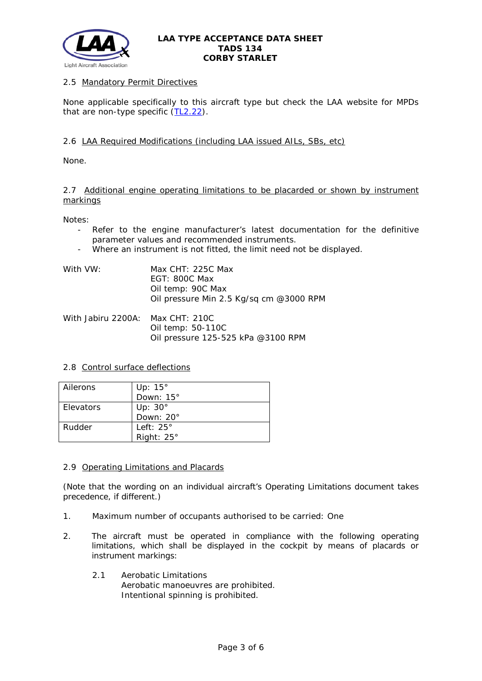

# 2.5 Mandatory Permit Directives

None applicable specifically to this aircraft type but check the LAA website for MPDs that are non-type specific  $(TL2.22)$ .

# 2.6 LAA Required Modifications (including LAA issued AILs, SBs, etc)

None.

### 2.7 Additional engine operating limitations to be placarded or shown by instrument markings

Notes:

- Refer to the engine manufacturer's latest documentation for the definitive parameter values and recommended instruments.
- Where an instrument is not fitted, the limit need not be displayed.

| With VW: | Max CHT: 225C Max                       |
|----------|-----------------------------------------|
|          | EGT: 800C Max                           |
|          | Oil temp: 90C Max                       |
|          | Oil pressure Min 2.5 Kg/sq cm @3000 RPM |
|          |                                         |

With Jabiru 2200A: Max CHT: 210C Oil temp: 50-110C Oil pressure 125-525 kPa @3100 RPM

### 2.8 Control surface deflections

| Ailerons  | Up: $15^\circ$    |
|-----------|-------------------|
|           | Down: $15^\circ$  |
| Elevators | Up: $30^\circ$    |
|           | Down: 20°         |
| Rudder    | Left: $25^\circ$  |
|           | Right: $25^\circ$ |

### 2.9 Operating Limitations and Placards

(Note that the wording on an individual aircraft's Operating Limitations document takes precedence, if different.)

- 1. Maximum number of occupants authorised to be carried: One
- 2. The aircraft must be operated in compliance with the following operating limitations, which shall be displayed in the cockpit by means of placards or instrument markings:
	- 2.1 Aerobatic Limitations Aerobatic manoeuvres are prohibited. Intentional spinning is prohibited.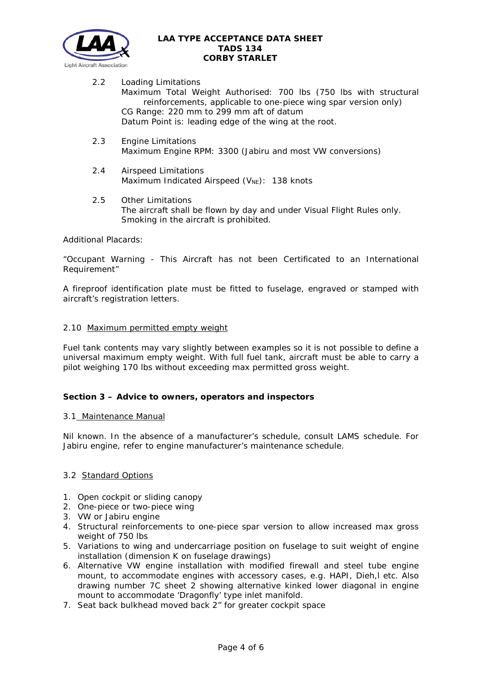

- 2.2 Loading Limitations Maximum Total Weight Authorised: 700 lbs (750 lbs with structural reinforcements, applicable to one-piece wing spar version only) CG Range: 220 mm to 299 mm aft of datum Datum Point is: leading edge of the wing at the root.
- 2.3 Engine Limitations Maximum Engine RPM: 3300 (Jabiru and most VW conversions)
- 2.4 Airspeed Limitations Maximum Indicated Airspeed  $(V_{NE})$ : 138 knots
- 2.5 Other Limitations The aircraft shall be flown by day and under Visual Flight Rules only. Smoking in the aircraft is prohibited.

Additional Placards:

"Occupant Warning - This Aircraft has not been Certificated to an International Requirement"

A fireproof identification plate must be fitted to fuselage, engraved or stamped with aircraft's registration letters.

# 2.10 Maximum permitted empty weight

Fuel tank contents may vary slightly between examples so it is not possible to define a universal maximum empty weight. With full fuel tank, aircraft must be able to carry a pilot weighing 170 lbs without exceeding max permitted gross weight.

# **Section 3 – Advice to owners, operators and inspectors**

### 3.1 Maintenance Manual

Nil known. In the absence of a manufacturer's schedule, consult LAMS schedule. For Jabiru engine, refer to engine manufacturer's maintenance schedule.

# 3.2 Standard Options

- 1. Open cockpit or sliding canopy
- 2. One-piece or two-piece wing
- 3. VW or Jabiru engine
- 4. Structural reinforcements to one-piece spar version to allow increased max gross weight of 750 lbs
- 5. Variations to wing and undercarriage position on fuselage to suit weight of engine installation (dimension K on fuselage drawings)
- 6. Alternative VW engine installation with modified firewall and steel tube engine mount, to accommodate engines with accessory cases, e.g. HAPI, Dieh,l etc. Also drawing number 7C sheet 2 showing alternative kinked lower diagonal in engine mount to accommodate 'Dragonfly' type inlet manifold.
- 7. Seat back bulkhead moved back 2" for greater cockpit space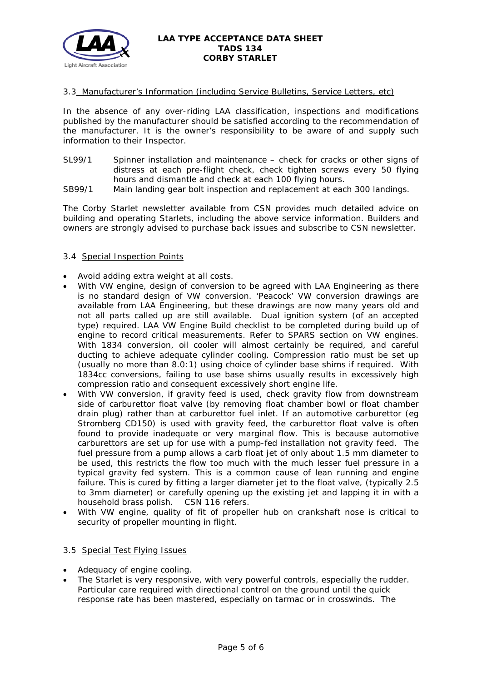

# 3.3 Manufacturer's Information (including Service Bulletins, Service Letters, etc)

In the absence of any over-riding LAA classification, inspections and modifications published by the manufacturer should be satisfied according to the recommendation of the manufacturer. It is the owner's responsibility to be aware of and supply such information to their Inspector.

- SL99/1 Spinner installation and maintenance check for cracks or other signs of distress at each pre-flight check, check tighten screws every 50 flying hours and dismantle and check at each 100 flying hours.
- SB99/1 Main landing gear bolt inspection and replacement at each 300 landings.

The Corby Starlet newsletter available from CSN provides much detailed advice on building and operating Starlets, including the above service information. Builders and owners are strongly advised to purchase back issues and subscribe to CSN newsletter.

# 3.4 Special Inspection Points

- Avoid adding extra weight at all costs.
- With VW engine, design of conversion to be agreed with LAA Engineering as there is no standard design of VW conversion. 'Peacock' VW conversion drawings are available from LAA Engineering, but these drawings are now many years old and not all parts called up are still available. Dual ignition system (of an accepted type) required. LAA VW Engine Build checklist to be completed during build up of engine to record critical measurements. Refer to SPARS section on VW engines. With 1834 conversion, oil cooler will almost certainly be required, and careful ducting to achieve adequate cylinder cooling. Compression ratio must be set up (usually no more than 8.0:1) using choice of cylinder base shims if required. With 1834cc conversions, failing to use base shims usually results in excessively high compression ratio and consequent excessively short engine life.
- With VW conversion, if gravity feed is used, check gravity flow from downstream side of carburettor float valve (by removing float chamber bowl or float chamber drain plug) rather than at carburettor fuel inlet. If an automotive carburettor (eg Stromberg CD150) is used with gravity feed, the carburettor float valve is often found to provide inadequate or very marginal flow. This is because automotive carburettors are set up for use with a pump-fed installation not gravity feed. The fuel pressure from a pump allows a carb float jet of only about 1.5 mm diameter to be used, this restricts the flow too much with the much lesser fuel pressure in a typical gravity fed system. This is a common cause of lean running and engine failure. This is cured by fitting a larger diameter jet to the float valve, (typically 2.5 to 3mm diameter) or carefully opening up the existing jet and lapping it in with a household brass polish. CSN 116 refers.
- With VW engine, quality of fit of propeller hub on crankshaft nose is critical to security of propeller mounting in flight.

### 3.5 Special Test Flying Issues

- Adequacy of engine cooling.
- The Starlet is very responsive, with very powerful controls, especially the rudder. Particular care required with directional control on the ground until the quick response rate has been mastered, especially on tarmac or in crosswinds. The